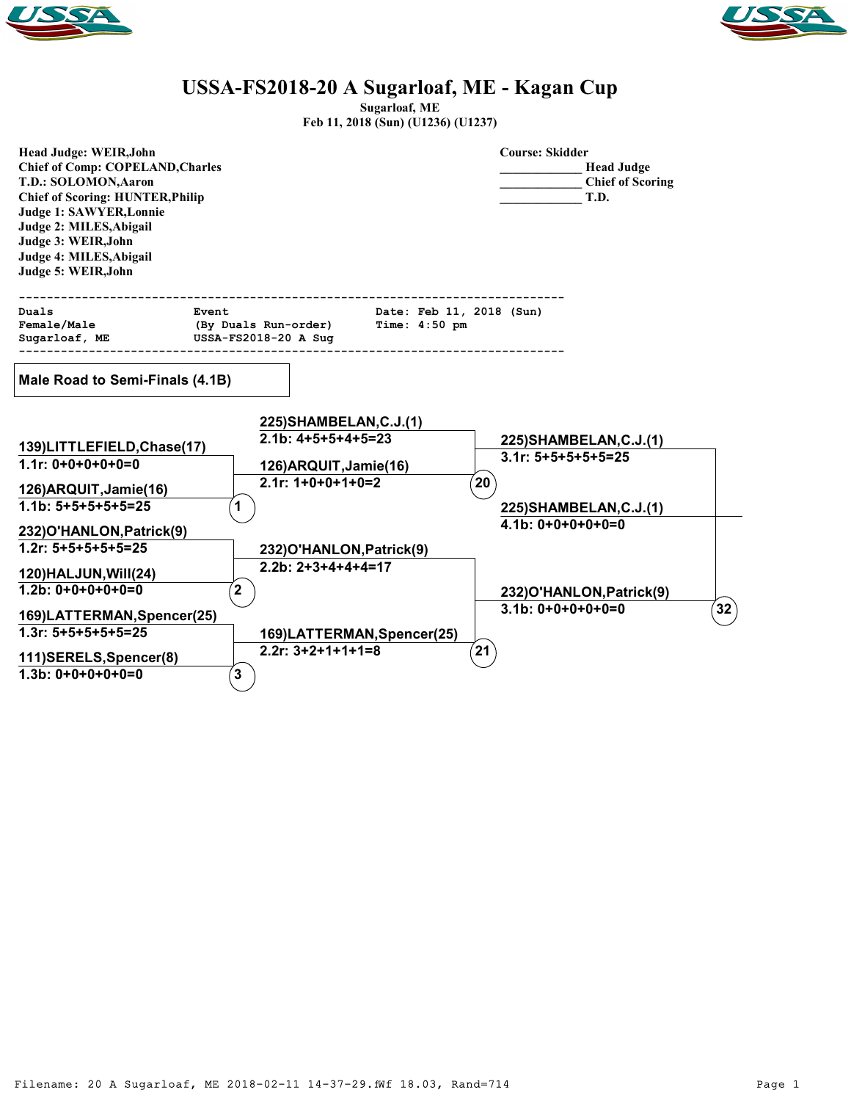



## **USSA-FS2018-20 A Sugarloaf, ME - Kagan Cup**

**Sugarloaf, ME**

| Feb 11, 2018 (Sun) (U1236) (U1237) |  |
|------------------------------------|--|
|------------------------------------|--|

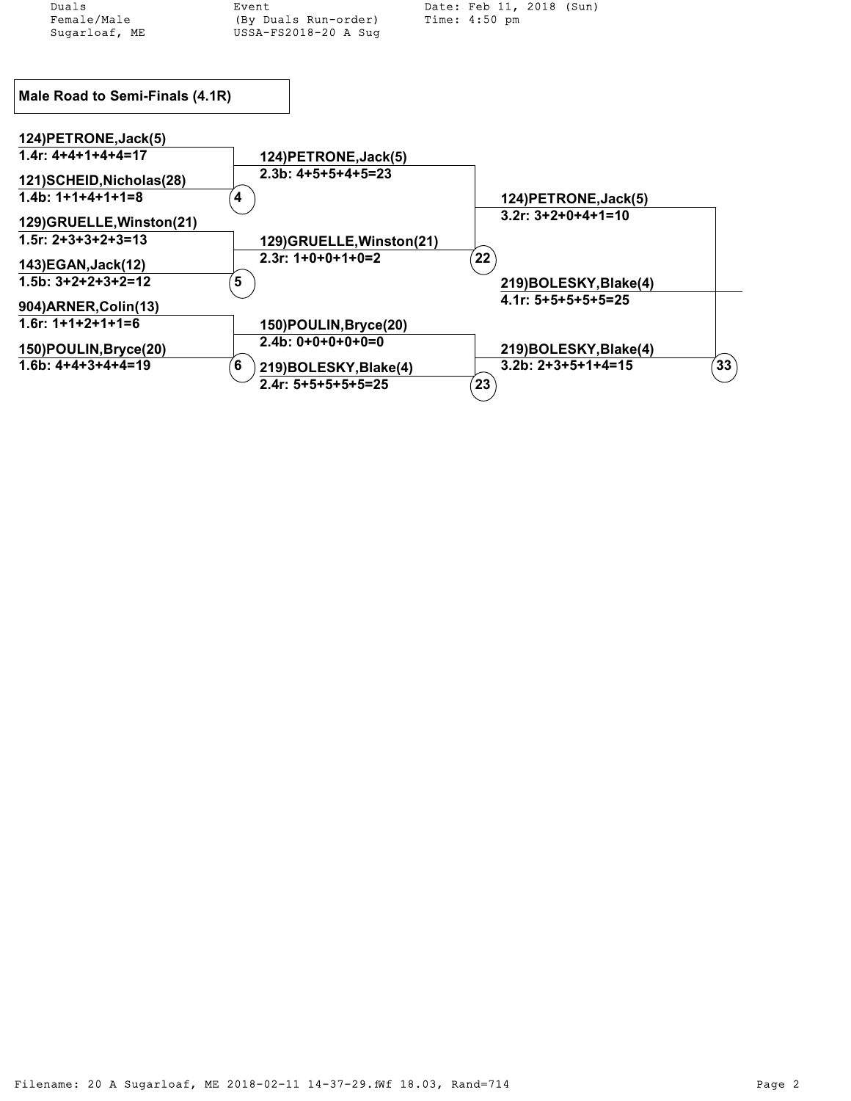| Duals                           | Event                      | Date: Feb 11, 2018 (Sun) |    |
|---------------------------------|----------------------------|--------------------------|----|
| Female/Male                     | (By Duals Run-order)       | Time: 4:50 pm            |    |
| Sugarloaf, ME                   | USSA-FS2018-20 A Sug       |                          |    |
|                                 |                            |                          |    |
|                                 |                            |                          |    |
| Male Road to Semi-Finals (4.1R) |                            |                          |    |
|                                 |                            |                          |    |
| 124) PETRONE, Jack(5)           |                            |                          |    |
| $1.4r: 4+4+4+4=17$              | 124) PETRONE, Jack(5)      |                          |    |
| 121) SCHEID, Nicholas (28)      | $2.3b: 4+5+5+4+5=23$       |                          |    |
| $1.4b: 1+1+4+1+1=8$             | 4                          | 124) PETRONE, Jack(5)    |    |
| 129)GRUELLE, Winston(21)        |                            | $3.2r: 3+2+0+4+1=10$     |    |
| $1.5r: 2+3+3+2+3=13$            | 129)GRUELLE, Winston(21)   |                          |    |
| 143) EGAN, Jack (12)            | $2.3r: 1+0+0+1+0=2$        | 22                       |    |
| $1.5b: 3+2+2+3+2=12$            | 5                          | 219)BOLESKY, Blake(4)    |    |
| 904) ARNER, Colin (13)          |                            | $4.1r: 5+5+5+5+5=25$     |    |
| $1.6r: 1+1+2+1+1=6$             |                            |                          |    |
|                                 | 150) POULIN, Bryce(20)     |                          |    |
| 150) POULIN, Bryce (20)         | $2.4b: 0+0+0+0+0=0$        | 219)BOLESKY, Blake(4)    |    |
| $1.6b: 4+4+3+4+4=19$            | 6<br>219)BOLESKY, Blake(4) | $3.2b: 2+3+5+1+4=15$     | 33 |
|                                 | $2.4r: 5+5+5+5+5=25$       | 23                       |    |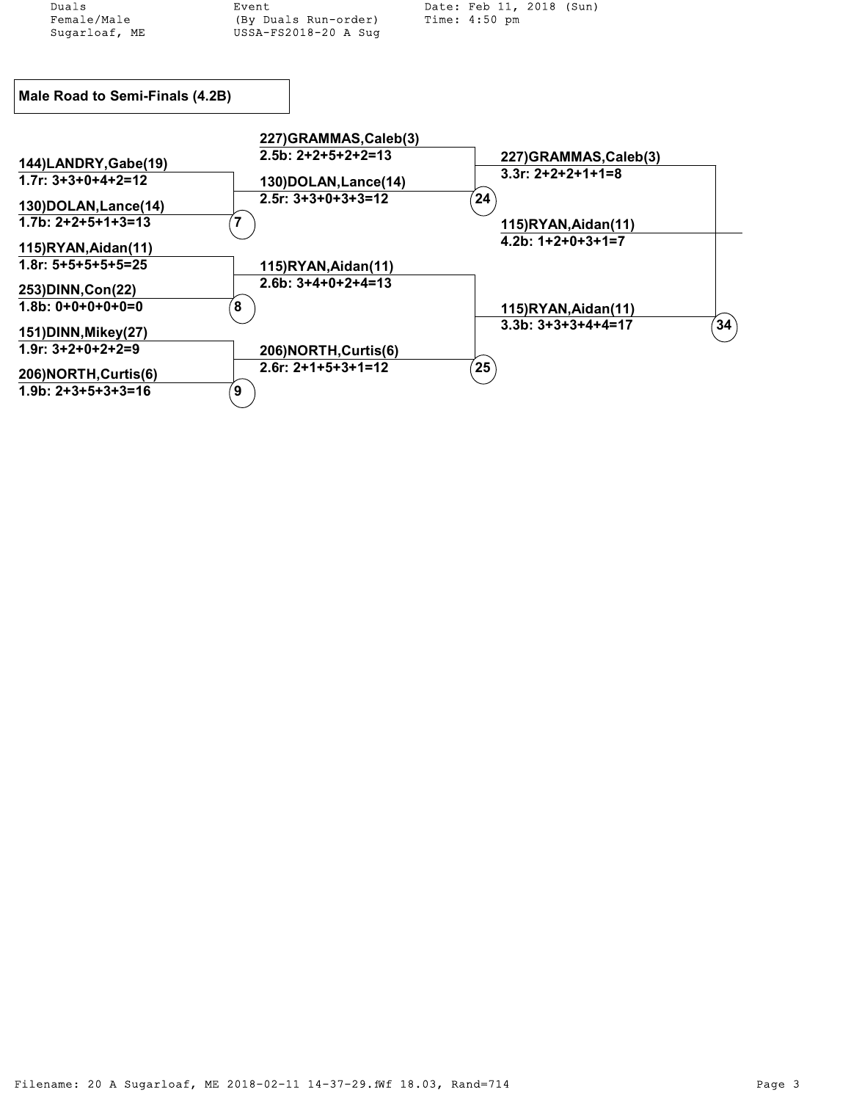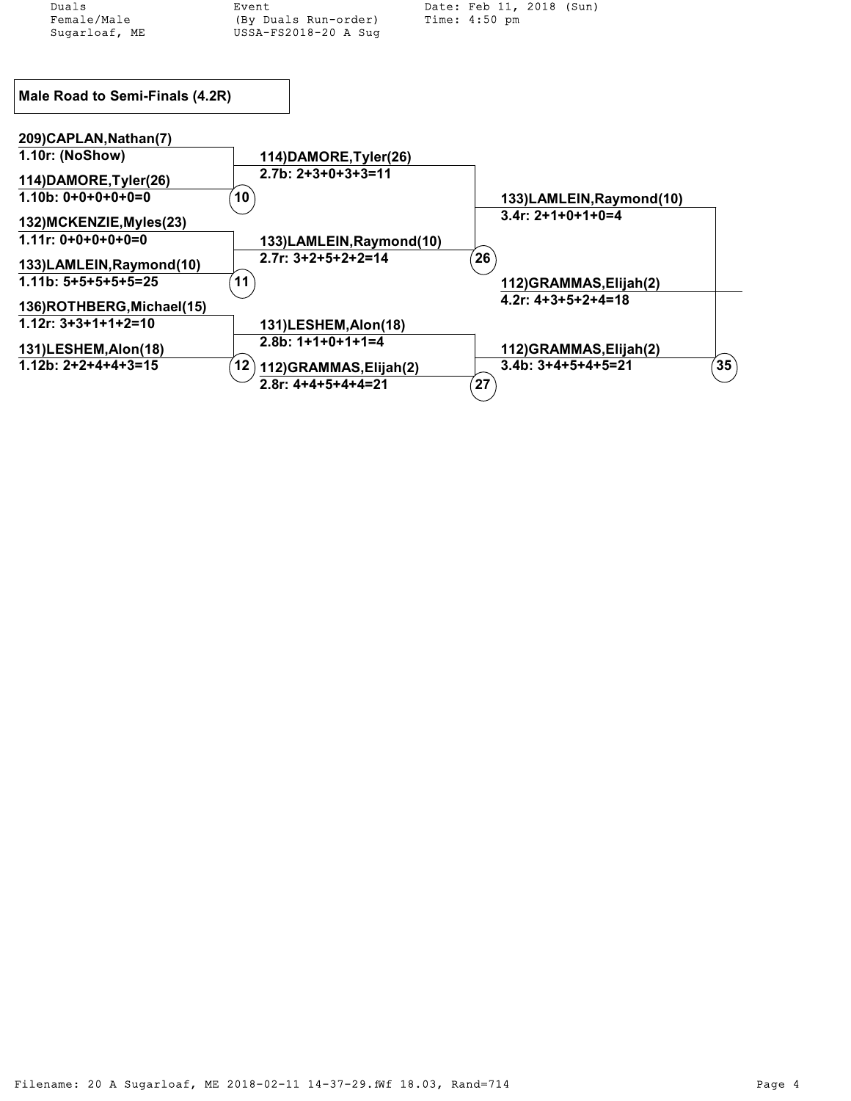| Duals                           | Event                          | Date: Feb 11, 2018 (Sun)   |
|---------------------------------|--------------------------------|----------------------------|
| Female/Male                     | (By Duals Run-order)           | Time: 4:50 pm              |
| Sugarloaf, ME                   | USSA-FS2018-20 A Sug           |                            |
|                                 |                                |                            |
|                                 |                                |                            |
| Male Road to Semi-Finals (4.2R) |                                |                            |
|                                 |                                |                            |
| 209)CAPLAN, Nathan(7)           |                                |                            |
| 1.10r: (NoShow)                 | 114) DAMORE, Tyler (26)        |                            |
| 114) DAMORE, Tyler (26)         | $2.7b: 2+3+0+3+3=11$           |                            |
| $1.10b: 0+0+0+0+0=0$            | 10                             | 133)LAMLEIN, Raymond(10)   |
|                                 |                                | $3.4r: 2+1+0+1+0=4$        |
| 132) MCKENZIE, Myles (23)       |                                |                            |
| $1.11r: 0+0+0+0+0=0$            | 133)LAMLEIN, Raymond(10)       |                            |
| 133)LAMLEIN, Raymond(10)        | $2.7r: 3+2+5+2+2=14$           | 26                         |
| $1.11b: 5+5+5+5+5=25$           | 11                             | 112)GRAMMAS, Elijah(2)     |
|                                 |                                | 4.2r: $4+3+5+2+4=18$       |
| 136)ROTHBERG, Michael(15)       |                                |                            |
| $1.12r: 3+3+1+1+2=10$           | 131)LESHEM, Alon(18)           |                            |
| 131)LESHEM, Alon(18)            | $2.8b: 1+1+0+1+1=4$            | 112)GRAMMAS, Elijah(2)     |
| $1.12b: 2+2+4+4+3=15$           |                                |                            |
|                                 | 12<br>112) GRAMMAS, Elijah (2) | 35<br>$3.4b: 3+4+5+4+5=21$ |
|                                 | $2.8r: 4+4+5+4+4=21$           | 27                         |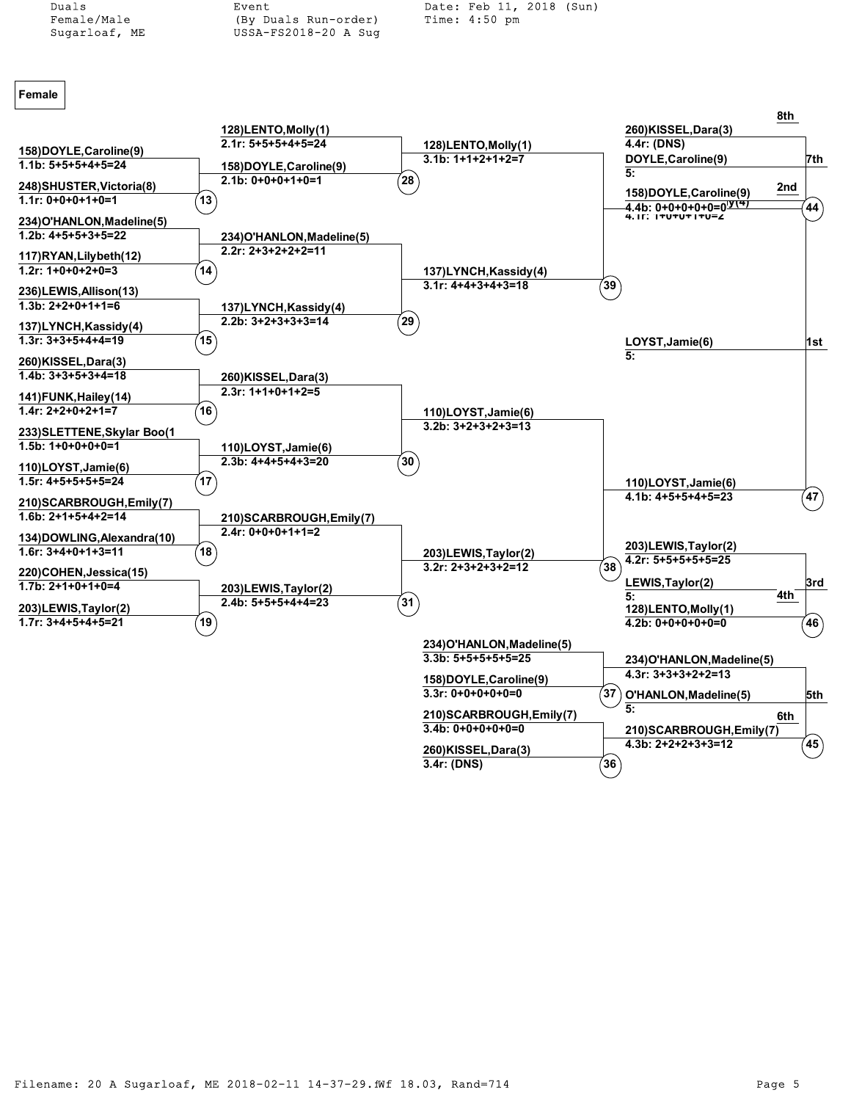

Female/Male (By Duals Run-order) Sugarloaf, ME USSA-FS2018-20 A Sug

Duals Event Date: Feb 11, 2018 (Sun)

## **Female**